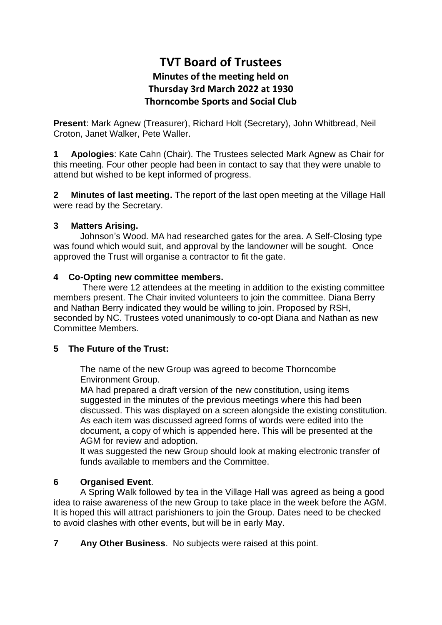# **TVT Board of Trustees Minutes of the meeting held on Thursday 3rd March 2022 at 1930 Thorncombe Sports and Social Club**

**Present**: Mark Agnew (Treasurer), Richard Holt (Secretary), John Whitbread, Neil Croton, Janet Walker, Pete Waller.

**1 Apologies**: Kate Cahn (Chair). The Trustees selected Mark Agnew as Chair for this meeting. Four other people had been in contact to say that they were unable to attend but wished to be kept informed of progress.

**2 Minutes of last meeting.** The report of the last open meeting at the Village Hall were read by the Secretary.

#### **3 Matters Arising.**

Johnson's Wood. MA had researched gates for the area. A Self-Closing type was found which would suit, and approval by the landowner will be sought. Once approved the Trust will organise a contractor to fit the gate.

#### **4 Co-Opting new committee members.**

There were 12 attendees at the meeting in addition to the existing committee members present. The Chair invited volunteers to join the committee. Diana Berry and Nathan Berry indicated they would be willing to join. Proposed by RSH, seconded by NC. Trustees voted unanimously to co-opt Diana and Nathan as new Committee Members.

## **5 The Future of the Trust:**

The name of the new Group was agreed to become Thorncombe Environment Group.

MA had prepared a draft version of the new constitution, using items suggested in the minutes of the previous meetings where this had been discussed. This was displayed on a screen alongside the existing constitution. As each item was discussed agreed forms of words were edited into the document, a copy of which is appended here. This will be presented at the AGM for review and adoption.

It was suggested the new Group should look at making electronic transfer of funds available to members and the Committee.

## **6 Organised Event**.

A Spring Walk followed by tea in the Village Hall was agreed as being a good idea to raise awareness of the new Group to take place in the week before the AGM. It is hoped this will attract parishioners to join the Group. Dates need to be checked to avoid clashes with other events, but will be in early May.

**7 Any Other Business**. No subjects were raised at this point.